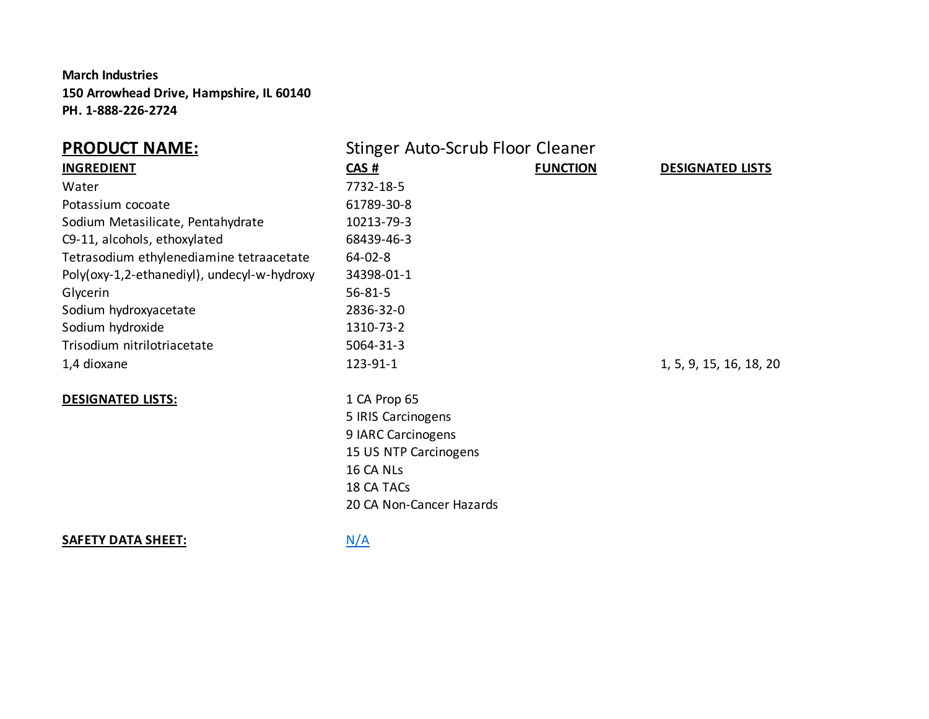**March Industries 150 Arrowhead Drive, Hampshire, IL 60140 PH. 1-888-226-2724**

| <b>PRODUCT NAME:</b>                        | Stinger Auto-Scrub Floor Cleaner |                 |                         |
|---------------------------------------------|----------------------------------|-----------------|-------------------------|
| <b>INGREDIENT</b>                           | CAS#                             | <b>FUNCTION</b> | <b>DESIGNATED LISTS</b> |
| Water                                       | 7732-18-5                        |                 |                         |
| Potassium cocoate                           | 61789-30-8                       |                 |                         |
| Sodium Metasilicate, Pentahydrate           | 10213-79-3                       |                 |                         |
| C9-11, alcohols, ethoxylated                | 68439-46-3                       |                 |                         |
| Tetrasodium ethylenediamine tetraacetate    | $64 - 02 - 8$                    |                 |                         |
| Poly(oxy-1,2-ethanediyl), undecyl-w-hydroxy | 34398-01-1                       |                 |                         |
| Glycerin                                    | $56 - 81 - 5$                    |                 |                         |
| Sodium hydroxyacetate                       | 2836-32-0                        |                 |                         |
| Sodium hydroxide                            | 1310-73-2                        |                 |                         |
| Trisodium nitrilotriacetate                 | 5064-31-3                        |                 |                         |
| 1,4 dioxane                                 | 123-91-1                         |                 | 1, 5, 9, 15, 16, 18, 20 |
| <b>DESIGNATED LISTS:</b>                    | 1 CA Prop 65                     |                 |                         |
|                                             | 5 IRIS Carcinogens               |                 |                         |
|                                             | 9 IARC Carcinogens               |                 |                         |
|                                             | 15 US NTP Carcinogens            |                 |                         |
|                                             | 16 CA NLs                        |                 |                         |
|                                             | 18 CA TACs                       |                 |                         |
|                                             | 20 CA Non-Cancer Hazards         |                 |                         |
|                                             |                                  |                 |                         |

**SAFETY DATA SHEET:** N/A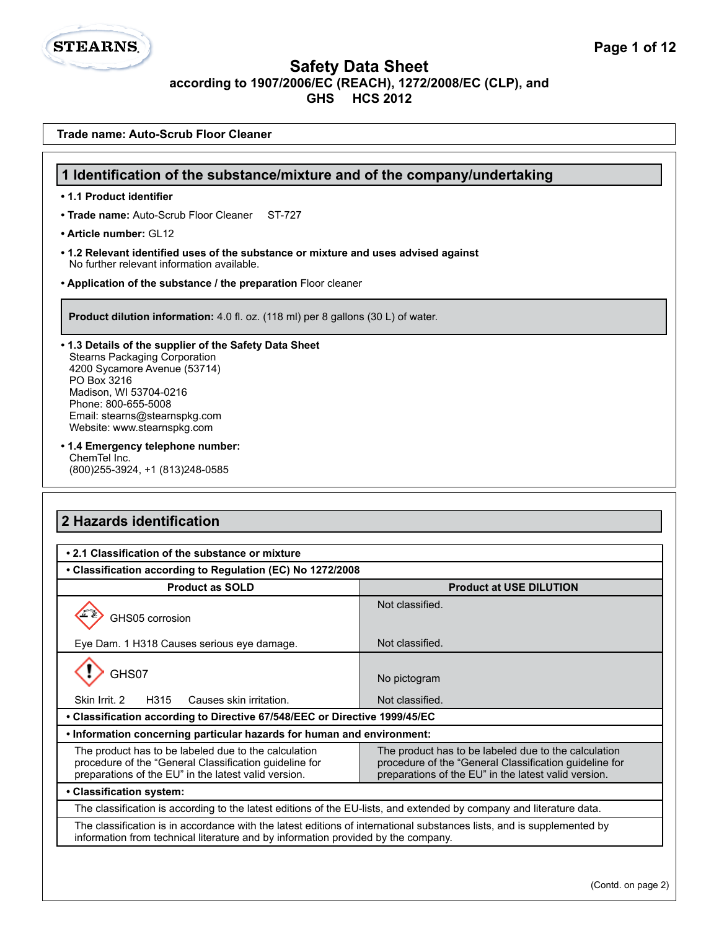**Trade name: Auto-Scrub Floor Cleaner**

**STEARNS.** 

| 1 Identification of the substance/mixture and of the company/undertaking                                                                                                                                                                                                                                                                                                                                                                               |                                                                                                                                                                        |  |  |
|--------------------------------------------------------------------------------------------------------------------------------------------------------------------------------------------------------------------------------------------------------------------------------------------------------------------------------------------------------------------------------------------------------------------------------------------------------|------------------------------------------------------------------------------------------------------------------------------------------------------------------------|--|--|
| • 1.1 Product identifier                                                                                                                                                                                                                                                                                                                                                                                                                               |                                                                                                                                                                        |  |  |
| • Trade name: Auto-Scrub Floor Cleaner<br>ST-727                                                                                                                                                                                                                                                                                                                                                                                                       |                                                                                                                                                                        |  |  |
| • Article number: GI 12                                                                                                                                                                                                                                                                                                                                                                                                                                |                                                                                                                                                                        |  |  |
| • 1.2 Relevant identified uses of the substance or mixture and uses advised against<br>No further relevant information available.                                                                                                                                                                                                                                                                                                                      |                                                                                                                                                                        |  |  |
| . Application of the substance / the preparation Floor cleaner                                                                                                                                                                                                                                                                                                                                                                                         |                                                                                                                                                                        |  |  |
| <b>Product dilution information:</b> 4.0 fl. oz. (118 ml) per 8 gallons (30 L) of water.                                                                                                                                                                                                                                                                                                                                                               |                                                                                                                                                                        |  |  |
| • 1.3 Details of the supplier of the Safety Data Sheet<br><b>Stearns Packaging Corporation</b><br>4200 Sycamore Avenue (53714)<br>PO Box 3216<br>Madison, WI 53704-0216<br>Phone: 800-655-5008<br>Email: stearns@stearnspkg.com<br>Website: www.stearnspkg.com<br>• 1.4 Emergency telephone number:<br>ChemTel Inc.<br>(800) 255-3924, +1 (813) 248-0585                                                                                               |                                                                                                                                                                        |  |  |
|                                                                                                                                                                                                                                                                                                                                                                                                                                                        |                                                                                                                                                                        |  |  |
|                                                                                                                                                                                                                                                                                                                                                                                                                                                        |                                                                                                                                                                        |  |  |
|                                                                                                                                                                                                                                                                                                                                                                                                                                                        |                                                                                                                                                                        |  |  |
| <b>Product as SOLD</b>                                                                                                                                                                                                                                                                                                                                                                                                                                 | <b>Product at USE DILUTION</b>                                                                                                                                         |  |  |
| GHS05 corrosion                                                                                                                                                                                                                                                                                                                                                                                                                                        | Not classified.                                                                                                                                                        |  |  |
| Eye Dam. 1 H318 Causes serious eye damage.                                                                                                                                                                                                                                                                                                                                                                                                             | Not classified.                                                                                                                                                        |  |  |
| GHS07                                                                                                                                                                                                                                                                                                                                                                                                                                                  | No pictogram                                                                                                                                                           |  |  |
| Skin Irrit. 2<br>H315<br>Causes skin irritation.                                                                                                                                                                                                                                                                                                                                                                                                       | Not classified.                                                                                                                                                        |  |  |
|                                                                                                                                                                                                                                                                                                                                                                                                                                                        |                                                                                                                                                                        |  |  |
|                                                                                                                                                                                                                                                                                                                                                                                                                                                        |                                                                                                                                                                        |  |  |
| The product has to be labeled due to the calculation<br>procedure of the "General Classification guideline for<br>preparations of the EU" in the latest valid version.                                                                                                                                                                                                                                                                                 | The product has to be labeled due to the calculation<br>procedure of the "General Classification guideline for<br>preparations of the EU" in the latest valid version. |  |  |
|                                                                                                                                                                                                                                                                                                                                                                                                                                                        |                                                                                                                                                                        |  |  |
| 2 Hazards identification<br>• 2.1 Classification of the substance or mixture<br>• Classification according to Regulation (EC) No 1272/2008<br>• Classification according to Directive 67/548/EEC or Directive 1999/45/EC<br>. Information concerning particular hazards for human and environment:<br>• Classification system:<br>The classification is according to the latest editions of the EU-lists, and extended by company and literature data. |                                                                                                                                                                        |  |  |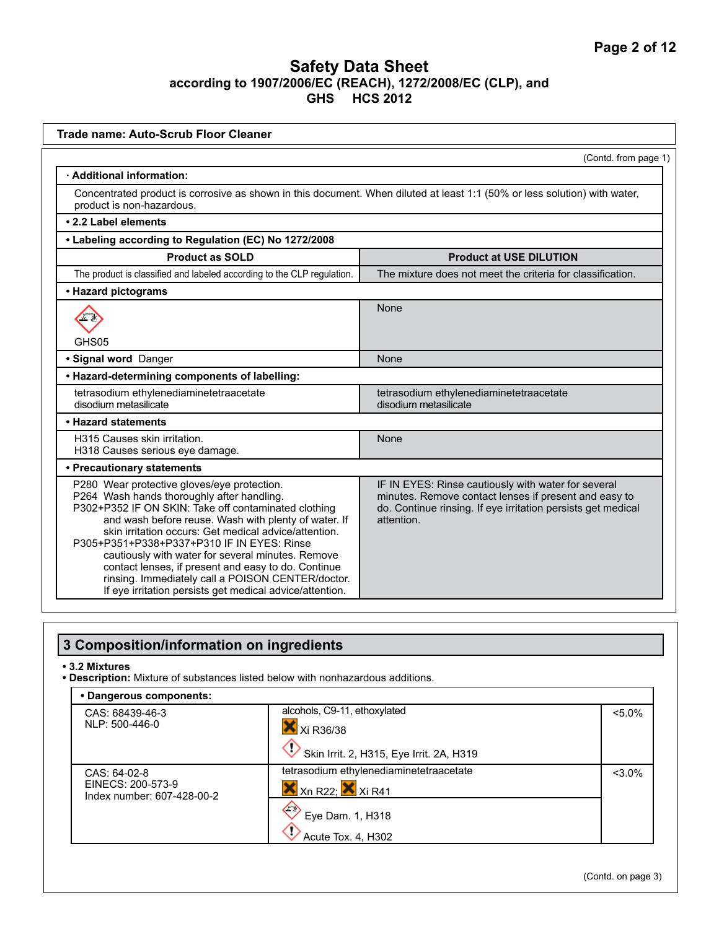| <b>Trade name: Auto-Scrub Floor Cleaner</b>                                                                                                                                                                                                                                                                                                                                                                                                                                                                                                   |                                                                                                                                                                                            |  |  |
|-----------------------------------------------------------------------------------------------------------------------------------------------------------------------------------------------------------------------------------------------------------------------------------------------------------------------------------------------------------------------------------------------------------------------------------------------------------------------------------------------------------------------------------------------|--------------------------------------------------------------------------------------------------------------------------------------------------------------------------------------------|--|--|
|                                                                                                                                                                                                                                                                                                                                                                                                                                                                                                                                               | (Contd. from page 1)                                                                                                                                                                       |  |  |
| · Additional information:                                                                                                                                                                                                                                                                                                                                                                                                                                                                                                                     |                                                                                                                                                                                            |  |  |
| Concentrated product is corrosive as shown in this document. When diluted at least 1:1 (50% or less solution) with water,<br>product is non-hazardous.                                                                                                                                                                                                                                                                                                                                                                                        |                                                                                                                                                                                            |  |  |
| • 2.2 Label elements                                                                                                                                                                                                                                                                                                                                                                                                                                                                                                                          |                                                                                                                                                                                            |  |  |
| • Labeling according to Regulation (EC) No 1272/2008                                                                                                                                                                                                                                                                                                                                                                                                                                                                                          |                                                                                                                                                                                            |  |  |
| <b>Product as SOLD</b>                                                                                                                                                                                                                                                                                                                                                                                                                                                                                                                        | <b>Product at USE DILUTION</b>                                                                                                                                                             |  |  |
| The product is classified and labeled according to the CLP regulation.                                                                                                                                                                                                                                                                                                                                                                                                                                                                        | The mixture does not meet the criteria for classification.                                                                                                                                 |  |  |
| • Hazard pictograms                                                                                                                                                                                                                                                                                                                                                                                                                                                                                                                           |                                                                                                                                                                                            |  |  |
|                                                                                                                                                                                                                                                                                                                                                                                                                                                                                                                                               | None                                                                                                                                                                                       |  |  |
| GHS05                                                                                                                                                                                                                                                                                                                                                                                                                                                                                                                                         |                                                                                                                                                                                            |  |  |
| · Signal word Danger                                                                                                                                                                                                                                                                                                                                                                                                                                                                                                                          | None                                                                                                                                                                                       |  |  |
| • Hazard-determining components of labelling:                                                                                                                                                                                                                                                                                                                                                                                                                                                                                                 |                                                                                                                                                                                            |  |  |
| tetrasodium ethylenediaminetetraacetate<br>tetrasodium ethylenediaminetetraacetate<br>disodium metasilicate<br>disodium metasilicate                                                                                                                                                                                                                                                                                                                                                                                                          |                                                                                                                                                                                            |  |  |
| • Hazard statements                                                                                                                                                                                                                                                                                                                                                                                                                                                                                                                           |                                                                                                                                                                                            |  |  |
| H315 Causes skin irritation.<br>H318 Causes serious eye damage.                                                                                                                                                                                                                                                                                                                                                                                                                                                                               | None                                                                                                                                                                                       |  |  |
| • Precautionary statements                                                                                                                                                                                                                                                                                                                                                                                                                                                                                                                    |                                                                                                                                                                                            |  |  |
| P280 Wear protective gloves/eye protection.<br>P264 Wash hands thoroughly after handling.<br>P302+P352 IF ON SKIN: Take off contaminated clothing<br>and wash before reuse. Wash with plenty of water. If<br>skin irritation occurs: Get medical advice/attention.<br>P305+P351+P338+P337+P310 IF IN EYES: Rinse<br>cautiously with water for several minutes. Remove<br>contact lenses, if present and easy to do. Continue<br>rinsing. Immediately call a POISON CENTER/doctor.<br>If eye irritation persists get medical advice/attention. | IF IN EYES: Rinse cautiously with water for several<br>minutes. Remove contact lenses if present and easy to<br>do. Continue rinsing. If eye irritation persists get medical<br>attention. |  |  |

# **3 Composition/information on ingredients**

#### **• 3.2 Mixtures**

**• Description:** Mixture of substances listed below with nonhazardous additions.

| • Dangerous components:                         |                                                                       |           |
|-------------------------------------------------|-----------------------------------------------------------------------|-----------|
| CAS: 68439-46-3                                 | alcohols, C9-11, ethoxylated                                          | $< 5.0\%$ |
| NLP: 500-446-0                                  | Xi R36/38                                                             |           |
|                                                 | Skin Irrit. 2, H315, Eye Irrit. 2A, H319                              |           |
| CAS: 64-02-8                                    | tetrasodium ethylenediaminetetraacetate                               | $< 3.0\%$ |
| EINECS: 200-573-9<br>Index number: 607-428-00-2 | $X$ <sub>Xn</sub> R <sub>22</sub> : $X$ <sub>Xi</sub> R <sub>41</sub> |           |
|                                                 | $\left\langle \mathbb{R}\right\rangle$<br>Eye Dam. 1, H318            |           |
|                                                 | Acute Tox. 4, H302                                                    |           |

(Contd. on page 3)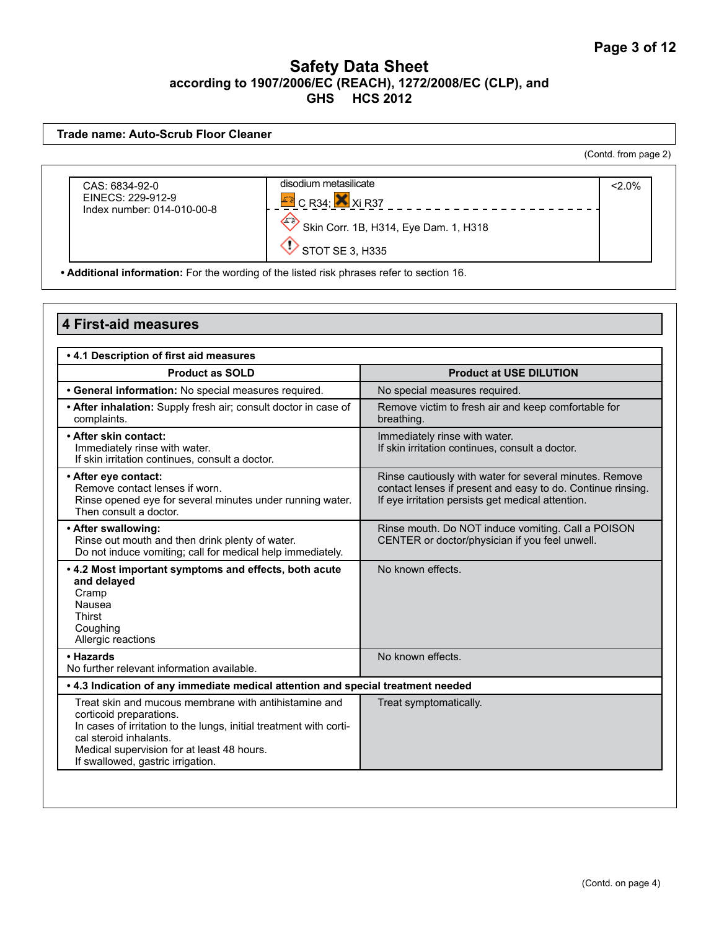#### **Trade name: Auto-Scrub Floor Cleaner** (Contd. from page 2)disodium metasilicate  $\sim$  2.0% CAS: 6834-92-0 EINECS: 229-912-9 C R34; Xi R37 Index number: 014-010-00-8  $\Leftrightarrow$  Skin Corr. 1B, H314, Eye Dam. 1, H318  $\bigcirc$  STOT SE 3, H335

**• Additional information:** For the wording of the listed risk phrases refer to section 16.

| .4.1 Description of first aid measures                                                                                                                                                                                                                              |                                                                                                                                                                             |
|---------------------------------------------------------------------------------------------------------------------------------------------------------------------------------------------------------------------------------------------------------------------|-----------------------------------------------------------------------------------------------------------------------------------------------------------------------------|
| <b>Product as SOLD</b>                                                                                                                                                                                                                                              | <b>Product at USE DILUTION</b>                                                                                                                                              |
| · General information: No special measures required.                                                                                                                                                                                                                | No special measures required.                                                                                                                                               |
| • After inhalation: Supply fresh air; consult doctor in case of<br>complaints.                                                                                                                                                                                      | Remove victim to fresh air and keep comfortable for<br>breathing.                                                                                                           |
| • After skin contact:<br>Immediately rinse with water.<br>If skin irritation continues, consult a doctor.                                                                                                                                                           | Immediately rinse with water.<br>If skin irritation continues, consult a doctor.                                                                                            |
| • After eye contact:<br>Remove contact lenses if worn.<br>Rinse opened eye for several minutes under running water.<br>Then consult a doctor.                                                                                                                       | Rinse cautiously with water for several minutes. Remove<br>contact lenses if present and easy to do. Continue rinsing.<br>If eye irritation persists get medical attention. |
| • After swallowing:<br>Rinse out mouth and then drink plenty of water.<br>Do not induce vomiting; call for medical help immediately.                                                                                                                                | Rinse mouth. Do NOT induce vomiting. Call a POISON<br>CENTER or doctor/physician if you feel unwell.                                                                        |
| • 4.2 Most important symptoms and effects, both acute<br>and delayed<br>Cramp<br>Nausea<br><b>Thirst</b><br>Coughing<br>Allergic reactions                                                                                                                          | No known effects.                                                                                                                                                           |
| • Hazards<br>No further relevant information available.                                                                                                                                                                                                             | No known effects.                                                                                                                                                           |
| . 4.3 Indication of any immediate medical attention and special treatment needed                                                                                                                                                                                    |                                                                                                                                                                             |
| Treat skin and mucous membrane with antihistamine and<br>corticoid preparations.<br>In cases of irritation to the lungs, initial treatment with corti-<br>cal steroid inhalants.<br>Medical supervision for at least 48 hours.<br>If swallowed, gastric irrigation. | Treat symptomatically.                                                                                                                                                      |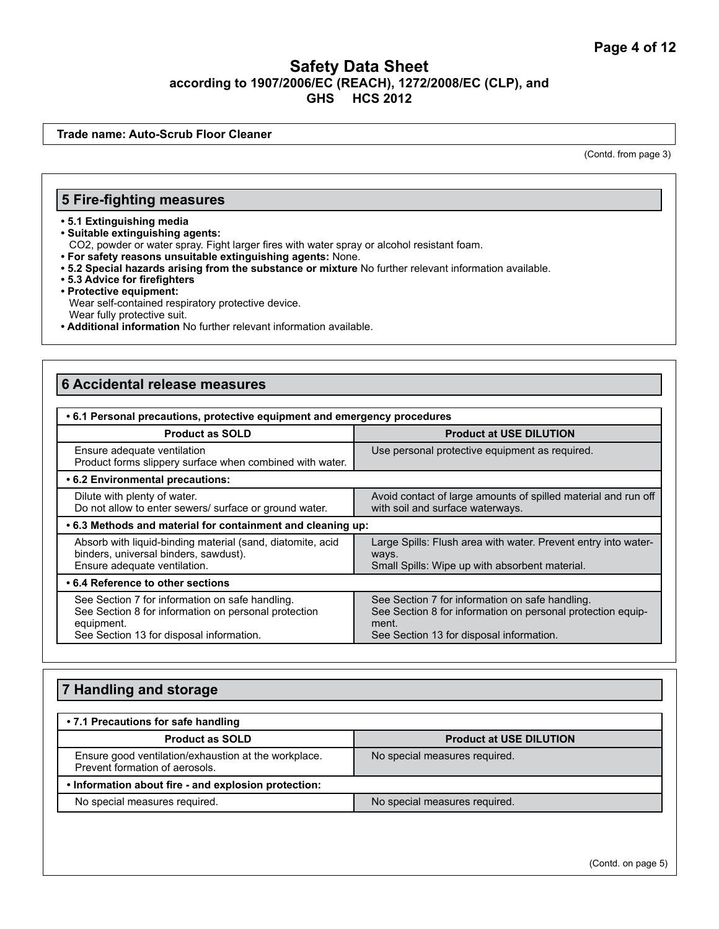**Trade name: Auto-Scrub Floor Cleaner**

(Contd. from page 3)

#### **5 Fire-fighting measures**

#### **• 5.1 Extinguishing media**

**• Suitable extinguishing agents:** 

CO2, powder or water spray. Fight larger fires with water spray or alcohol resistant foam.

- **For safety reasons unsuitable extinguishing agents:** None.
- **5.2 Special hazards arising from the substance or mixture** No further relevant information available.
- **5.3 Advice for firefighters**
- **Protective equipment:** Wear self-contained respiratory protective device. Wear fully protective suit.
- **Additional information** No further relevant information available.

#### **6 Accidental release measures**

| • 6.1 Personal precautions, protective equipment and emergency procedures                                                                                                                    |                                                                                                                                                                     |  |  |
|----------------------------------------------------------------------------------------------------------------------------------------------------------------------------------------------|---------------------------------------------------------------------------------------------------------------------------------------------------------------------|--|--|
| <b>Product at USE DILUTION</b><br><b>Product as SOLD</b>                                                                                                                                     |                                                                                                                                                                     |  |  |
| Ensure adequate ventilation<br>Product forms slippery surface when combined with water.                                                                                                      | Use personal protective equipment as required.                                                                                                                      |  |  |
| .6.2 Environmental precautions:                                                                                                                                                              |                                                                                                                                                                     |  |  |
| Avoid contact of large amounts of spilled material and run off<br>Dilute with plenty of water.<br>Do not allow to enter sewers/ surface or ground water.<br>with soil and surface waterways. |                                                                                                                                                                     |  |  |
| .6.3 Methods and material for containment and cleaning up:                                                                                                                                   |                                                                                                                                                                     |  |  |
| Absorb with liquid-binding material (sand, diatomite, acid<br>binders, universal binders, sawdust).<br>Ensure adequate ventilation.                                                          | Large Spills: Flush area with water. Prevent entry into water-<br>ways.<br>Small Spills: Wipe up with absorbent material.                                           |  |  |
| • 6.4 Reference to other sections                                                                                                                                                            |                                                                                                                                                                     |  |  |
| See Section 7 for information on safe handling.<br>See Section 8 for information on personal protection<br>equipment.<br>See Section 13 for disposal information.                            | See Section 7 for information on safe handling.<br>See Section 8 for information on personal protection equip-<br>ment.<br>See Section 13 for disposal information. |  |  |

## **7 Handling and storage • 7.1 Precautions for safe handling Product as SOLD Product at USE DILUTION** Ensure good ventilation/exhaustion at the workplace. Prevent formation of aerosols. No special measures required. **• Information about fire - and explosion protection:**  No special measures required. No special measures required.

(Contd. on page 5)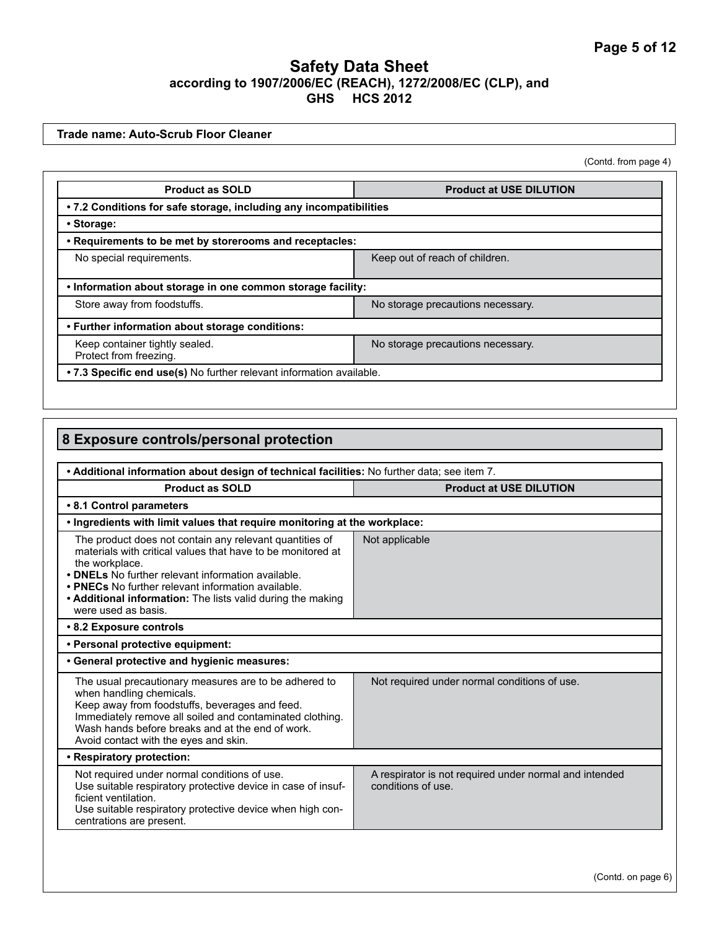**Trade name: Auto-Scrub Floor Cleaner**

(Contd. from page 4)

| <b>Product as SOLD</b>                                               | <b>Product at USE DILUTION</b>    |  |
|----------------------------------------------------------------------|-----------------------------------|--|
| • 7.2 Conditions for safe storage, including any incompatibilities   |                                   |  |
| • Storage:                                                           |                                   |  |
| . Requirements to be met by storerooms and receptacles:              |                                   |  |
| No special requirements.                                             | Keep out of reach of children.    |  |
| . Information about storage in one common storage facility:          |                                   |  |
| Store away from foodstuffs.                                          | No storage precautions necessary. |  |
| • Further information about storage conditions:                      |                                   |  |
| Keep container tightly sealed.<br>Protect from freezing.             | No storage precautions necessary. |  |
| • 7.3 Specific end use(s) No further relevant information available. |                                   |  |

| 8 Exposure controls/personal protection                                                                                                                                                                                                                                                                                                    |                                                                              |  |  |
|--------------------------------------------------------------------------------------------------------------------------------------------------------------------------------------------------------------------------------------------------------------------------------------------------------------------------------------------|------------------------------------------------------------------------------|--|--|
|                                                                                                                                                                                                                                                                                                                                            |                                                                              |  |  |
| . Additional information about design of technical facilities: No further data; see item 7.                                                                                                                                                                                                                                                |                                                                              |  |  |
| <b>Product as SOLD</b><br><b>Product at USE DILUTION</b>                                                                                                                                                                                                                                                                                   |                                                                              |  |  |
| • 8.1 Control parameters                                                                                                                                                                                                                                                                                                                   |                                                                              |  |  |
| . Ingredients with limit values that require monitoring at the workplace:                                                                                                                                                                                                                                                                  |                                                                              |  |  |
| The product does not contain any relevant quantities of<br>materials with critical values that have to be monitored at<br>the workplace.<br>• DNELs No further relevant information available.<br>• PNECs No further relevant information available.<br>• Additional information: The lists valid during the making<br>were used as basis. | Not applicable                                                               |  |  |
| • 8.2 Exposure controls                                                                                                                                                                                                                                                                                                                    |                                                                              |  |  |
| • Personal protective equipment:                                                                                                                                                                                                                                                                                                           |                                                                              |  |  |
| • General protective and hygienic measures:                                                                                                                                                                                                                                                                                                |                                                                              |  |  |
| The usual precautionary measures are to be adhered to<br>when handling chemicals.<br>Keep away from foodstuffs, beverages and feed.<br>Immediately remove all soiled and contaminated clothing.<br>Wash hands before breaks and at the end of work.<br>Avoid contact with the eyes and skin.                                               | Not required under normal conditions of use.                                 |  |  |
| • Respiratory protection:                                                                                                                                                                                                                                                                                                                  |                                                                              |  |  |
| Not required under normal conditions of use.<br>Use suitable respiratory protective device in case of insuf-<br>ficient ventilation.<br>Use suitable respiratory protective device when high con-<br>centrations are present.                                                                                                              | A respirator is not required under normal and intended<br>conditions of use. |  |  |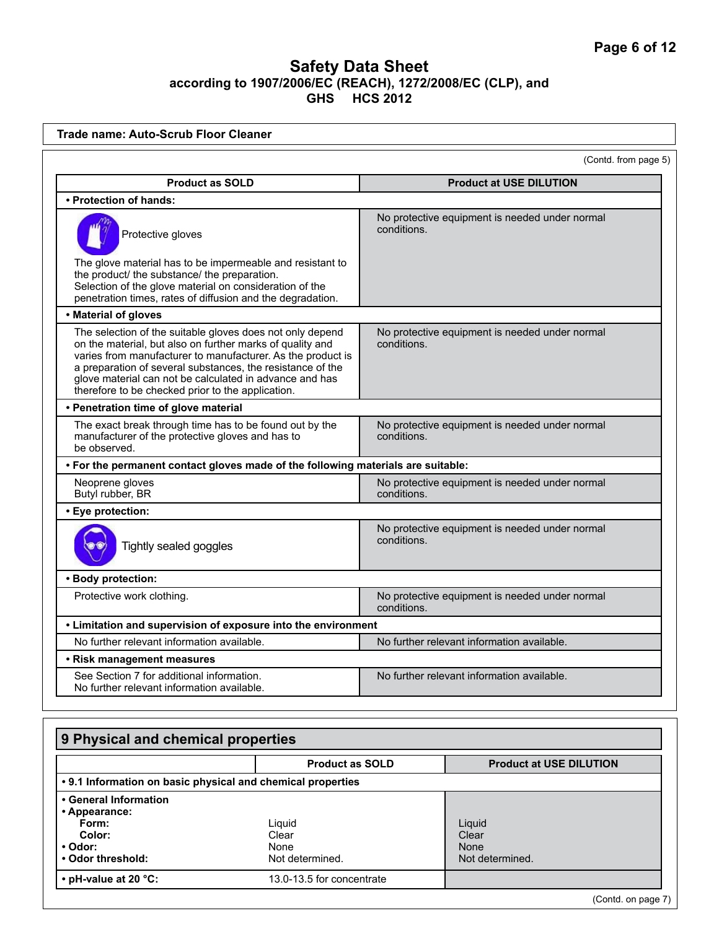| <b>Trade name: Auto-Scrub Floor Cleaner</b>                                                                                                                                                                                                                                                                                                                         |                                                          |                                                |  |
|---------------------------------------------------------------------------------------------------------------------------------------------------------------------------------------------------------------------------------------------------------------------------------------------------------------------------------------------------------------------|----------------------------------------------------------|------------------------------------------------|--|
|                                                                                                                                                                                                                                                                                                                                                                     |                                                          | (Contd. from page 5)                           |  |
| <b>Product as SOLD</b>                                                                                                                                                                                                                                                                                                                                              |                                                          | <b>Product at USE DILUTION</b>                 |  |
| • Protection of hands:                                                                                                                                                                                                                                                                                                                                              |                                                          |                                                |  |
| Protective gloves<br>The glove material has to be impermeable and resistant to<br>the product/ the substance/ the preparation.                                                                                                                                                                                                                                      | conditions.                                              | No protective equipment is needed under normal |  |
| Selection of the glove material on consideration of the<br>penetration times, rates of diffusion and the degradation.                                                                                                                                                                                                                                               |                                                          |                                                |  |
| • Material of gloves                                                                                                                                                                                                                                                                                                                                                |                                                          |                                                |  |
| The selection of the suitable gloves does not only depend<br>on the material, but also on further marks of quality and<br>varies from manufacturer to manufacturer. As the product is<br>a preparation of several substances, the resistance of the<br>glove material can not be calculated in advance and has<br>therefore to be checked prior to the application. | conditions.                                              | No protective equipment is needed under normal |  |
| • Penetration time of glove material                                                                                                                                                                                                                                                                                                                                |                                                          |                                                |  |
| The exact break through time has to be found out by the<br>manufacturer of the protective gloves and has to<br>be observed.                                                                                                                                                                                                                                         | conditions.                                              | No protective equipment is needed under normal |  |
| . For the permanent contact gloves made of the following materials are suitable:                                                                                                                                                                                                                                                                                    |                                                          |                                                |  |
| Neoprene gloves<br>Butyl rubber, BR<br>conditions.                                                                                                                                                                                                                                                                                                                  |                                                          | No protective equipment is needed under normal |  |
| • Eye protection:                                                                                                                                                                                                                                                                                                                                                   |                                                          |                                                |  |
| conditions.<br>Tightly sealed goggles                                                                                                                                                                                                                                                                                                                               |                                                          | No protective equipment is needed under normal |  |
| · Body protection:                                                                                                                                                                                                                                                                                                                                                  |                                                          |                                                |  |
| Protective work clothing.<br>conditions.                                                                                                                                                                                                                                                                                                                            |                                                          | No protective equipment is needed under normal |  |
| • Limitation and supervision of exposure into the environment                                                                                                                                                                                                                                                                                                       |                                                          |                                                |  |
| No further relevant information available.<br>No further relevant information available.                                                                                                                                                                                                                                                                            |                                                          |                                                |  |
| • Risk management measures                                                                                                                                                                                                                                                                                                                                          |                                                          |                                                |  |
| See Section 7 for additional information.<br>No further relevant information available.                                                                                                                                                                                                                                                                             |                                                          | No further relevant information available.     |  |
|                                                                                                                                                                                                                                                                                                                                                                     |                                                          |                                                |  |
| 9 Physical and chemical properties                                                                                                                                                                                                                                                                                                                                  |                                                          |                                                |  |
|                                                                                                                                                                                                                                                                                                                                                                     | <b>Product as SOLD</b><br><b>Product at USE DILUTION</b> |                                                |  |
| • 9.1 Information on basic physical and chemical properties                                                                                                                                                                                                                                                                                                         |                                                          |                                                |  |
| • General Information                                                                                                                                                                                                                                                                                                                                               |                                                          |                                                |  |

Liquid

**• Appearance: Form: Color: • Odor:** 

**• Odor threshold:** 

• pH-value at 20 °C:

| Clear<br>None<br>Not determined. | Clear<br>None<br>Not determined. |
|----------------------------------|----------------------------------|
| 13.0-13.5 for concentrate        |                                  |
|                                  | (Contd. on page 7)               |

Liquid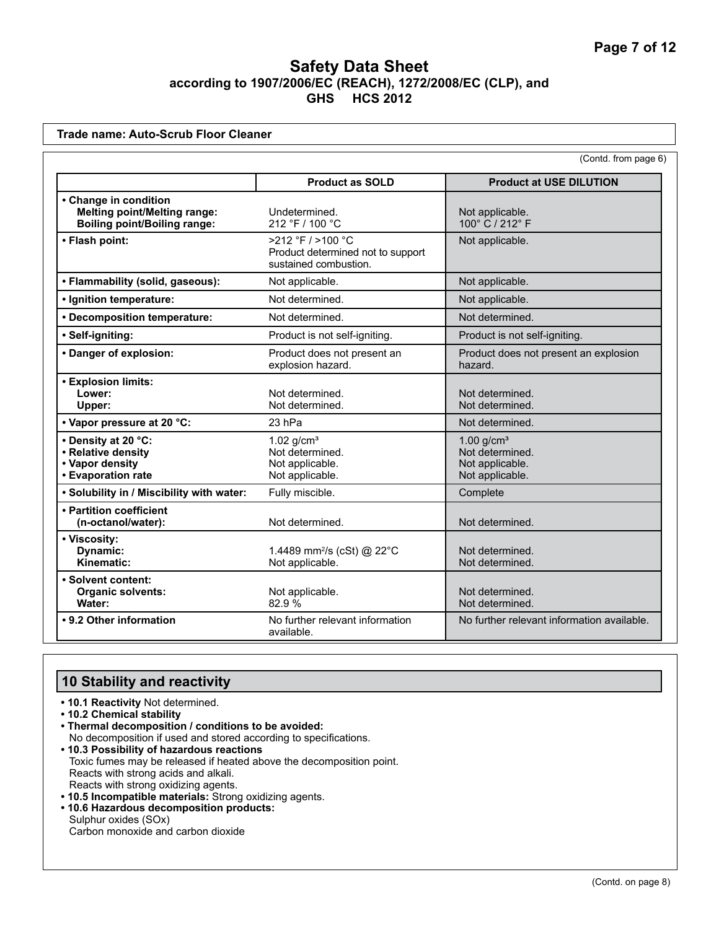|                                                                                                     |                                                                                 | (Contd. from page 6)                                                  |
|-----------------------------------------------------------------------------------------------------|---------------------------------------------------------------------------------|-----------------------------------------------------------------------|
|                                                                                                     | <b>Product as SOLD</b>                                                          | <b>Product at USE DILUTION</b>                                        |
| • Change in condition<br><b>Melting point/Melting range:</b><br><b>Boiling point/Boiling range:</b> | Undetermined.<br>212 °F / 100 °C                                                | Not applicable.<br>100° C / 212° F                                    |
| • Flash point:                                                                                      | >212 °F / >100 °C<br>Product determined not to support<br>sustained combustion. | Not applicable.                                                       |
| • Flammability (solid, gaseous):                                                                    | Not applicable.                                                                 | Not applicable.                                                       |
| • Ignition temperature:                                                                             | Not determined.                                                                 | Not applicable.                                                       |
| • Decomposition temperature:                                                                        | Not determined.                                                                 | Not determined.                                                       |
| · Self-igniting:                                                                                    | Product is not self-igniting.                                                   | Product is not self-igniting.                                         |
| • Danger of explosion:                                                                              | Product does not present an<br>explosion hazard.                                | Product does not present an explosion<br>hazard.                      |
| <b>• Explosion limits:</b><br>Lower:<br>Upper:                                                      | Not determined.<br>Not determined.                                              | Not determined.<br>Not determined.                                    |
| • Vapor pressure at 20 °C:                                                                          | 23 hPa                                                                          | Not determined.                                                       |
| • Density at 20 °C:<br>• Relative density<br>• Vapor density<br>• Evaporation rate                  | 1.02 $g/cm3$<br>Not determined.<br>Not applicable.<br>Not applicable.           | 1.00 $g/cm3$<br>Not determined.<br>Not applicable.<br>Not applicable. |
| . Solubility in / Miscibility with water:                                                           | Fully miscible.                                                                 | Complete                                                              |
| • Partition coefficient<br>(n-octanol/water):                                                       | Not determined.                                                                 | Not determined.                                                       |
| • Viscosity:<br>Dynamic:<br>Kinematic:                                                              | 1.4489 mm <sup>2</sup> /s (cSt) @ 22°C<br>Not applicable.                       | Not determined.<br>Not determined.                                    |
| • Solvent content:<br><b>Organic solvents:</b><br>Water:                                            | Not applicable.<br>82.9%                                                        | Not determined.<br>Not determined.                                    |
| • 9.2 Other information                                                                             | No further relevant information<br>available.                                   | No further relevant information available.                            |

# **10 Stability and reactivity**

- **10.1 Reactivity** Not determined.
- **10.2 Chemical stability**
- **Thermal decomposition / conditions to be avoided:** No decomposition if used and stored according to specifications.
- **10.3 Possibility of hazardous reactions** Toxic fumes may be released if heated above the decomposition point. Reacts with strong acids and alkali. Reacts with strong oxidizing agents.
- **10.5 Incompatible materials:** Strong oxidizing agents.
- **10.6 Hazardous decomposition products:**  Sulphur oxides (SOx) Carbon monoxide and carbon dioxide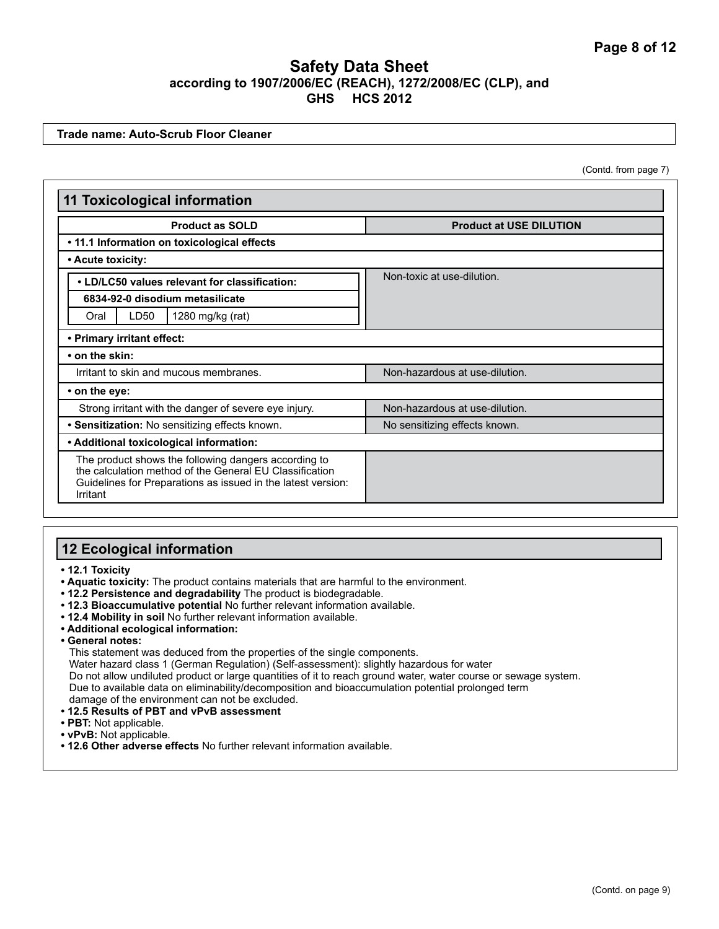**Trade name: Auto-Scrub Floor Cleaner**

(Contd. from page 7)

| <b>11 Toxicological information</b>                                                                                                                                                         |                                |  |
|---------------------------------------------------------------------------------------------------------------------------------------------------------------------------------------------|--------------------------------|--|
| <b>Product as SOLD</b>                                                                                                                                                                      | <b>Product at USE DILUTION</b> |  |
| • 11.1 Information on toxicological effects                                                                                                                                                 |                                |  |
| • Acute toxicity:                                                                                                                                                                           |                                |  |
| • LD/LC50 values relevant for classification:                                                                                                                                               | Non-toxic at use-dilution.     |  |
| 6834-92-0 disodium metasilicate                                                                                                                                                             |                                |  |
| LD50<br>1280 mg/kg (rat)<br>Oral                                                                                                                                                            |                                |  |
| • Primary irritant effect:                                                                                                                                                                  |                                |  |
| • on the skin:                                                                                                                                                                              |                                |  |
| Irritant to skin and mucous membranes.                                                                                                                                                      | Non-hazardous at use-dilution. |  |
| • on the eye:                                                                                                                                                                               |                                |  |
| Strong irritant with the danger of severe eye injury.                                                                                                                                       | Non-hazardous at use-dilution. |  |
| • Sensitization: No sensitizing effects known.                                                                                                                                              | No sensitizing effects known.  |  |
| • Additional toxicological information:                                                                                                                                                     |                                |  |
| The product shows the following dangers according to<br>the calculation method of the General EU Classification<br>Guidelines for Preparations as issued in the latest version:<br>Irritant |                                |  |

#### **12 Ecological information**

**• 12.1 Toxicity**

- **Aquatic toxicity:** The product contains materials that are harmful to the environment.
- **12.2 Persistence and degradability** The product is biodegradable.
- **12.3 Bioaccumulative potential** No further relevant information available.
- **12.4 Mobility in soil** No further relevant information available.
- **Additional ecological information:**
- **General notes:**

This statement was deduced from the properties of the single components.

Water hazard class 1 (German Regulation) (Self-assessment): slightly hazardous for water

Do not allow undiluted product or large quantities of it to reach ground water, water course or sewage system. Due to available data on eliminability/decomposition and bioaccumulation potential prolonged term damage of the environment can not be excluded.

- **12.5 Results of PBT and vPvB assessment**
- **PBT:** Not applicable.
- **vPvB:** Not applicable.
- **12.6 Other adverse effects** No further relevant information available.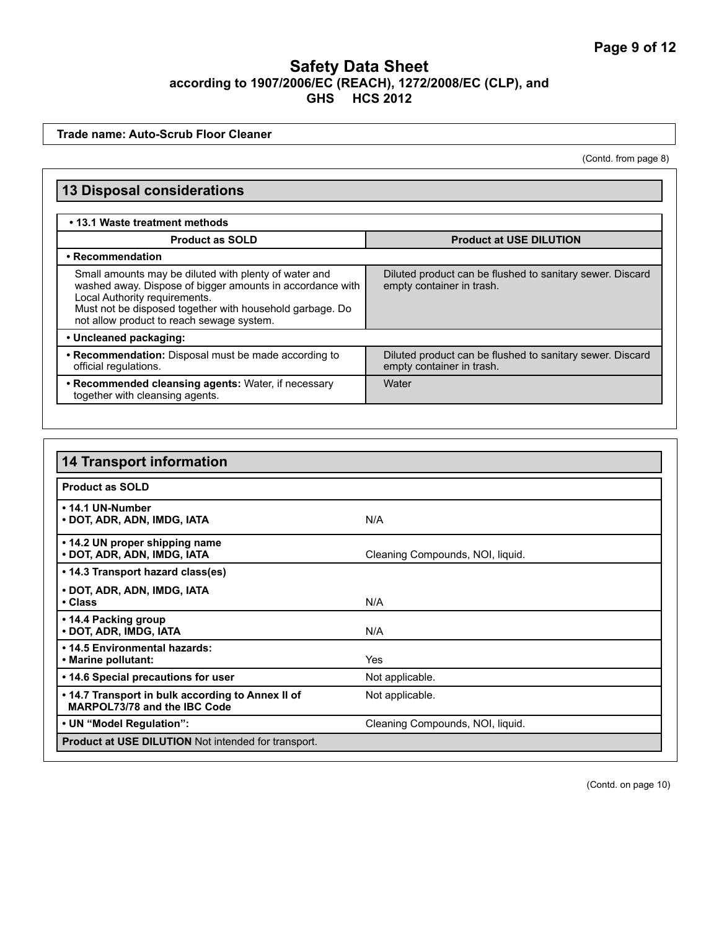**Trade name: Auto-Scrub Floor Cleaner**

(Contd. from page 8)

| <b>13 Disposal considerations</b><br>• 13.1 Waste treatment methods                                                                                                                                                                                          |                                                                                        |  |  |  |
|--------------------------------------------------------------------------------------------------------------------------------------------------------------------------------------------------------------------------------------------------------------|----------------------------------------------------------------------------------------|--|--|--|
|                                                                                                                                                                                                                                                              |                                                                                        |  |  |  |
| • Recommendation                                                                                                                                                                                                                                             |                                                                                        |  |  |  |
| Small amounts may be diluted with plenty of water and<br>washed away. Dispose of bigger amounts in accordance with<br>Local Authority requirements.<br>Must not be disposed together with household garbage. Do<br>not allow product to reach sewage system. | Diluted product can be flushed to sanitary sewer. Discard<br>empty container in trash. |  |  |  |
| • Uncleaned packaging:                                                                                                                                                                                                                                       |                                                                                        |  |  |  |
| • Recommendation: Disposal must be made according to<br>official regulations.                                                                                                                                                                                | Diluted product can be flushed to sanitary sewer. Discard<br>empty container in trash. |  |  |  |
| • Recommended cleansing agents: Water, if necessary<br>together with cleansing agents.                                                                                                                                                                       | Water                                                                                  |  |  |  |

| <b>14 Transport information</b>                                                   |                                  |  |
|-----------------------------------------------------------------------------------|----------------------------------|--|
| <b>Product as SOLD</b>                                                            |                                  |  |
| • 14.1 UN-Number<br>• DOT, ADR, ADN, IMDG, IATA                                   | N/A                              |  |
| • 14.2 UN proper shipping name<br>• DOT, ADR, ADN, IMDG, IATA                     | Cleaning Compounds, NOI, liquid. |  |
| • 14.3 Transport hazard class(es)                                                 |                                  |  |
| • DOT, ADR, ADN, IMDG, IATA<br>• Class                                            | N/A                              |  |
| • 14.4 Packing group<br>• DOT, ADR, IMDG, IATA                                    | N/A                              |  |
| • 14.5 Environmental hazards:<br>• Marine pollutant:                              | Yes                              |  |
| • 14.6 Special precautions for user                                               | Not applicable.                  |  |
| • 14.7 Transport in bulk according to Annex II of<br>MARPOL73/78 and the IBC Code | Not applicable.                  |  |
| • UN "Model Regulation":                                                          | Cleaning Compounds, NOI, liquid. |  |
| <b>Product at USE DILUTION</b> Not intended for transport.                        |                                  |  |

(Contd. on page 10)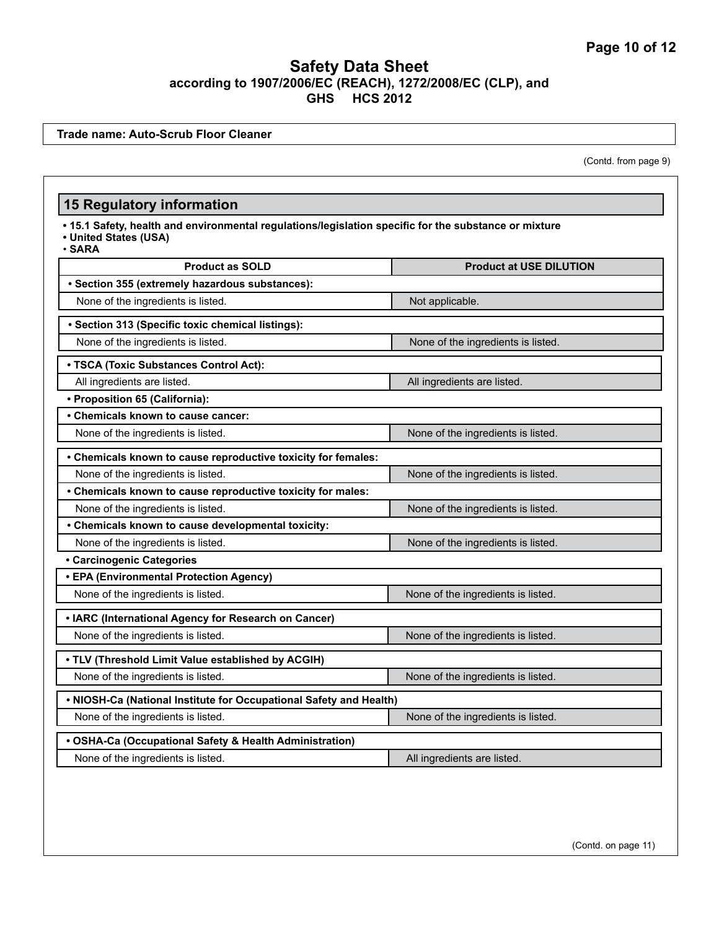**Trade name: Auto-Scrub Floor Cleaner**

(Contd. from page 9)

# **15 Regulatory information**

- **15.1 Safety, health and environmental regulations/legislation specific for the substance or mixture**
- **United States (USA)** • **SARA**

| <b>Product as SOLD</b>                                             | <b>Product at USE DILUTION</b>     |  |
|--------------------------------------------------------------------|------------------------------------|--|
| · Section 355 (extremely hazardous substances):                    |                                    |  |
| None of the ingredients is listed.                                 | Not applicable.                    |  |
| · Section 313 (Specific toxic chemical listings):                  |                                    |  |
| None of the ingredients is listed.                                 | None of the ingredients is listed. |  |
| • TSCA (Toxic Substances Control Act):                             |                                    |  |
| All ingredients are listed.                                        | All ingredients are listed.        |  |
| • Proposition 65 (California):                                     |                                    |  |
| • Chemicals known to cause cancer:                                 |                                    |  |
| None of the ingredients is listed.                                 | None of the ingredients is listed. |  |
| • Chemicals known to cause reproductive toxicity for females:      |                                    |  |
| None of the ingredients is listed.                                 | None of the ingredients is listed. |  |
| • Chemicals known to cause reproductive toxicity for males:        |                                    |  |
| None of the ingredients is listed.                                 | None of the ingredients is listed. |  |
| • Chemicals known to cause developmental toxicity:                 |                                    |  |
| None of the ingredients is listed.                                 | None of the ingredients is listed. |  |
| · Carcinogenic Categories                                          |                                    |  |
| • EPA (Environmental Protection Agency)                            |                                    |  |
| None of the ingredients is listed.                                 | None of the ingredients is listed. |  |
| • IARC (International Agency for Research on Cancer)               |                                    |  |
| None of the ingredients is listed.                                 | None of the ingredients is listed. |  |
| . TLV (Threshold Limit Value established by ACGIH)                 |                                    |  |
| None of the ingredients is listed.                                 | None of the ingredients is listed. |  |
| . NIOSH-Ca (National Institute for Occupational Safety and Health) |                                    |  |
| None of the ingredients is listed.                                 | None of the ingredients is listed. |  |
| • OSHA-Ca (Occupational Safety & Health Administration)            |                                    |  |
| None of the ingredients is listed.                                 | All ingredients are listed.        |  |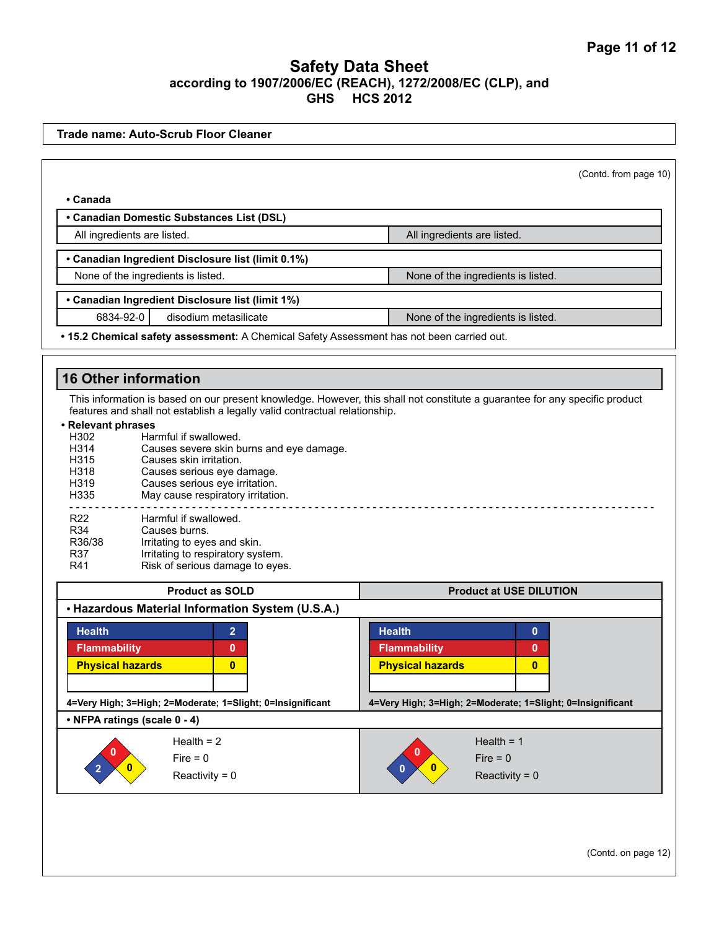|                         |                                           |                                                                            | (Contd. from page 10)                                                                                                       |
|-------------------------|-------------------------------------------|----------------------------------------------------------------------------|-----------------------------------------------------------------------------------------------------------------------------|
| • Canada                |                                           |                                                                            |                                                                                                                             |
|                         | • Canadian Domestic Substances List (DSL) |                                                                            |                                                                                                                             |
|                         | All ingredients are listed.               |                                                                            | All ingredients are listed.                                                                                                 |
|                         |                                           | • Canadian Ingredient Disclosure list (limit 0.1%)                         |                                                                                                                             |
|                         | None of the ingredients is listed.        |                                                                            | None of the ingredients is listed.                                                                                          |
|                         |                                           | • Canadian Ingredient Disclosure list (limit 1%)                           |                                                                                                                             |
| 6834-92-0               |                                           | disodium metasilicate                                                      | None of the ingredients is listed.                                                                                          |
|                         |                                           |                                                                            | . 15.2 Chemical safety assessment: A Chemical Safety Assessment has not been carried out.                                   |
|                         | <b>16 Other information</b>               |                                                                            |                                                                                                                             |
|                         |                                           |                                                                            |                                                                                                                             |
|                         |                                           | features and shall not establish a legally valid contractual relationship. | This information is based on our present knowledge. However, this shall not constitute a guarantee for any specific product |
| • Relevant phrases      |                                           |                                                                            |                                                                                                                             |
| H302                    | Harmful if swallowed.                     |                                                                            |                                                                                                                             |
| H314                    |                                           | Causes severe skin burns and eye damage.                                   |                                                                                                                             |
| H315                    | Causes skin irritation.                   |                                                                            |                                                                                                                             |
| H318                    |                                           | Causes serious eye damage.                                                 |                                                                                                                             |
| H319                    |                                           | Causes serious eye irritation.                                             |                                                                                                                             |
| H335                    |                                           | May cause respiratory irritation.                                          |                                                                                                                             |
| R <sub>22</sub>         | Harmful if swallowed.                     |                                                                            |                                                                                                                             |
| R34                     | Causes burns.                             |                                                                            |                                                                                                                             |
| R36/38                  | Irritating to eyes and skin.              |                                                                            |                                                                                                                             |
| R37                     |                                           | Irritating to respiratory system.                                          |                                                                                                                             |
| R41                     |                                           | Risk of serious damage to eyes.                                            |                                                                                                                             |
|                         |                                           |                                                                            |                                                                                                                             |
| <b>Product as SOLD</b>  |                                           |                                                                            | <b>Product at USE DILUTION</b>                                                                                              |
|                         |                                           | • Hazardous Material Information System (U.S.A.)                           |                                                                                                                             |
|                         |                                           | $\overline{2}$                                                             | <b>Health</b><br>$\mathbf{0}$                                                                                               |
| <b>Health</b>           |                                           |                                                                            |                                                                                                                             |
| <b>Flammability</b>     |                                           | 0                                                                          | <b>Flammability</b><br>0                                                                                                    |
|                         |                                           |                                                                            |                                                                                                                             |
| <b>Physical hazards</b> |                                           | $\bf{0}$                                                                   | <b>Physical hazards</b><br>$\mathbf{0}$                                                                                     |
|                         |                                           |                                                                            |                                                                                                                             |
|                         |                                           | 4=Very High; 3=High; 2=Moderate; 1=Slight; 0=Insignificant                 | 4=Very High; 3=High; 2=Moderate; 1=Slight; 0=Insignificant                                                                  |
|                         | • NFPA ratings (scale 0 - 4)              |                                                                            |                                                                                                                             |
|                         | Health $= 2$                              |                                                                            | Health = $1$                                                                                                                |
|                         | $Fire = 0$                                |                                                                            | $Fire = 0$                                                                                                                  |

(Contd. on page 12)